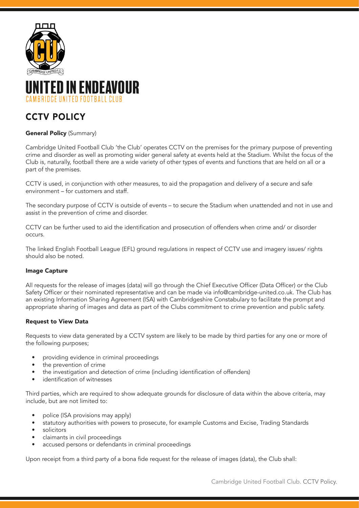

# CCTV POLICY

## **General Policy (Summary)**

Cambridge United Football Club 'the Club' operates CCTV on the premises for the primary purpose of preventing crime and disorder as well as promoting wider general safety at events held at the Stadium. Whilst the focus of the Club is, naturally, football there are a wide variety of other types of events and functions that are held on all or a part of the premises.

CCTV is used, in conjunction with other measures, to aid the propagation and delivery of a secure and safe environment – for customers and staff.

The secondary purpose of CCTV is outside of events – to secure the Stadium when unattended and not in use and assist in the prevention of crime and disorder.

CCTV can be further used to aid the identification and prosecution of offenders when crime and/ or disorder occurs.

The linked English Football League (EFL) ground regulations in respect of CCTV use and imagery issues/ rights should also be noted.

#### Image Capture

All requests for the release of images (data) will go through the Chief Executive Officer (Data Officer) or the Club Safety Officer or their nominated representative and can be made via info@cambridge-united.co.uk. The Club has an existing Information Sharing Agreement (ISA) with Cambridgeshire Constabulary to facilitate the prompt and appropriate sharing of images and data as part of the Clubs commitment to crime prevention and public safety.

#### Request to View Data

Requests to view data generated by a CCTV system are likely to be made by third parties for any one or more of the following purposes;

- providing evidence in criminal proceedings
- the prevention of crime
- the investigation and detection of crime (including identification of offenders)
- identification of witnesses

Third parties, which are required to show adequate grounds for disclosure of data within the above criteria, may include, but are not limited to:

- police (ISA provisions may apply)
- statutory authorities with powers to prosecute, for example Customs and Excise, Trading Standards
- solicitors
- claimants in civil proceedings
- accused persons or defendants in criminal proceedings

Upon receipt from a third party of a bona fide request for the release of images (data), the Club shall: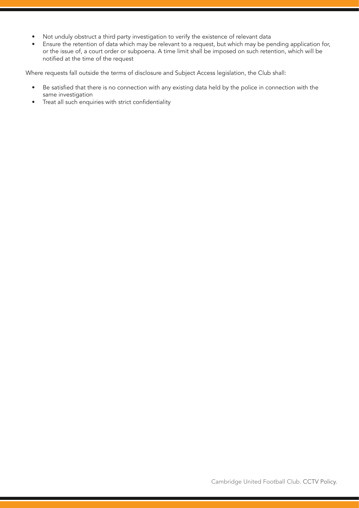- Not unduly obstruct a third party investigation to verify the existence of relevant data
- Ensure the retention of data which may be relevant to a request, but which may be pending application for, or the issue of, a court order or subpoena. A time limit shall be imposed on such retention, which will be notified at the time of the request

Where requests fall outside the terms of disclosure and Subject Access legislation, the Club shall:

- Be satisfied that there is no connection with any existing data held by the police in connection with the same investigation
- Treat all such enquiries with strict confidentiality